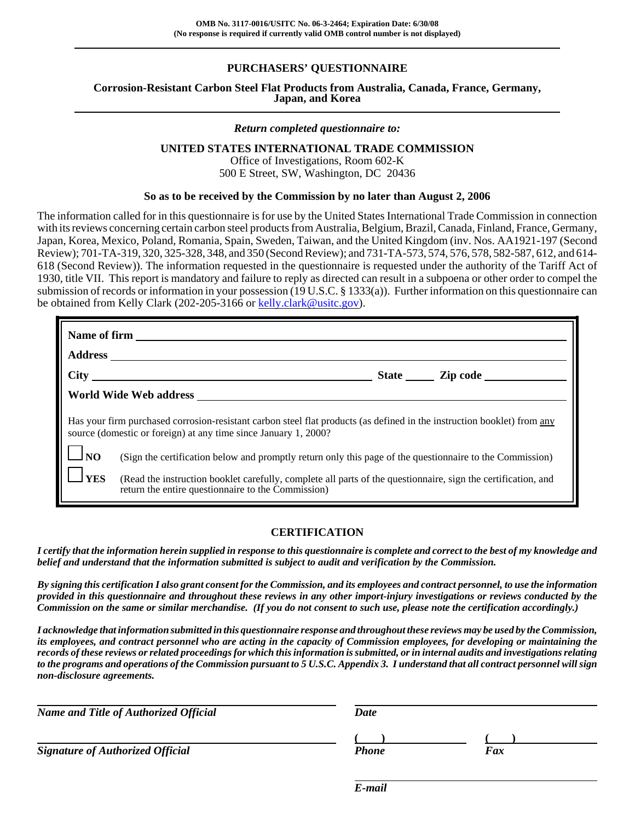# **PURCHASERS' QUESTIONNAIRE**

# **Corrosion-Resistant Carbon Steel Flat Products from Australia, Canada, France, Germany, Japan, and Korea**

#### *Return completed questionnaire to:*

## **UNITED STATES INTERNATIONAL TRADE COMMISSION**

Office of Investigations, Room 602-K 500 E Street, SW, Washington, DC 20436

#### **So as to be received by the Commission by no later than August 2, 2006**

The information called for in this questionnaire is for use by the United States International Trade Commission in connection with its reviews concerning certain carbon steel products from Australia, Belgium, Brazil, Canada, Finland, France, Germany, Japan, Korea, Mexico, Poland, Romania, Spain, Sweden, Taiwan, and the United Kingdom (inv. Nos. AA1921-197 (Second Review); 701-TA-319, 320, 325-328, 348, and 350 (Second Review); and 731-TA-573, 574, 576, 578, 582-587, 612, and 614- 618 (Second Review)). The information requested in the questionnaire is requested under the authority of the Tariff Act of 1930, title VII. This report is mandatory and failure to reply as directed can result in a subpoena or other order to compel the submission of records or information in your possession (19 U.S.C. § 1333(a)). Further information on this questionnaire can be obtained from Kelly Clark (202-205-3166 or kelly.clark@usitc.gov).

| Name of firm<br><b>Address</b>                                                                                                                                                             |                                                                                                                                                                     |  |  |  |
|--------------------------------------------------------------------------------------------------------------------------------------------------------------------------------------------|---------------------------------------------------------------------------------------------------------------------------------------------------------------------|--|--|--|
|                                                                                                                                                                                            |                                                                                                                                                                     |  |  |  |
| <b>City</b>                                                                                                                                                                                |                                                                                                                                                                     |  |  |  |
|                                                                                                                                                                                            | World Wide Web address                                                                                                                                              |  |  |  |
| Has your firm purchased corrosion-resistant carbon steel flat products (as defined in the instruction booklet) from any<br>source (domestic or foreign) at any time since January 1, 2000? |                                                                                                                                                                     |  |  |  |
| N <sub>O</sub>                                                                                                                                                                             | (Sign the certification below and promptly return only this page of the questionnaire to the Commission)                                                            |  |  |  |
| <b>YES</b>                                                                                                                                                                                 | (Read the instruction booklet carefully, complete all parts of the questionnaire, sign the certification, and<br>return the entire questionnaire to the Commission) |  |  |  |

#### **CERTIFICATION**

*I certify that the information herein supplied in response to this questionnaire is complete and correct to the best of my knowledge and belief and understand that the information submitted is subject to audit and verification by the Commission.*

*By signing this certification I also grant consent for the Commission, and its employees and contract personnel, to use the information provided in this questionnaire and throughout these reviews in any other import-injury investigations or reviews conducted by the Commission on the same or similar merchandise. (If you do not consent to such use, please note the certification accordingly.)*

*I acknowledge that information submitted in this questionnaire response and throughout these reviews may be used by the Commission, its employees, and contract personnel who are acting in the capacity of Commission employees, for developing or maintaining the records of these reviews or related proceedings for which this information is submitted, or in internal audits and investigations relating to the programs and operations of the Commission pursuant to 5 U.S.C. Appendix 3. I understand that all contract personnel will sign non-disclosure agreements.*

| <b>Name and Title of Authorized Official</b> | Date  |     |
|----------------------------------------------|-------|-----|
|                                              |       |     |
| Signature of Authorized Official             | Phone | Fax |

*E-mail*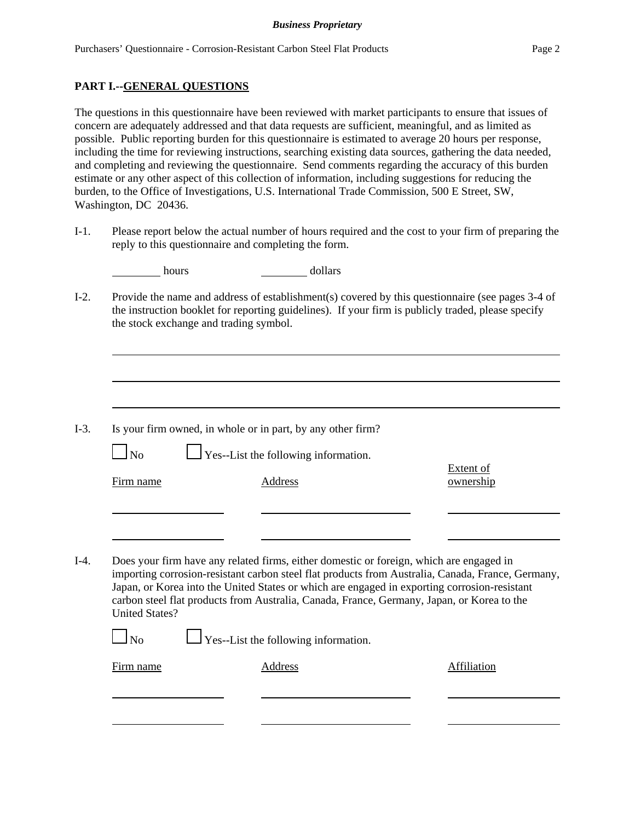## **PART I.--GENERAL QUESTIONS**

The questions in this questionnaire have been reviewed with market participants to ensure that issues of concern are adequately addressed and that data requests are sufficient, meaningful, and as limited as possible. Public reporting burden for this questionnaire is estimated to average 20 hours per response, including the time for reviewing instructions, searching existing data sources, gathering the data needed, and completing and reviewing the questionnaire. Send comments regarding the accuracy of this burden estimate or any other aspect of this collection of information, including suggestions for reducing the burden, to the Office of Investigations, U.S. International Trade Commission, 500 E Street, SW, Washington, DC 20436.

I-1. Please report below the actual number of hours required and the cost to your firm of preparing the reply to this questionnaire and completing the form.

| hours                 | dollars                                                                                                                                                                                                                                                                                                                                                                                    |                               |
|-----------------------|--------------------------------------------------------------------------------------------------------------------------------------------------------------------------------------------------------------------------------------------------------------------------------------------------------------------------------------------------------------------------------------------|-------------------------------|
|                       | Provide the name and address of establishment(s) covered by this questionnaire (see pages 3-4 of<br>the instruction booklet for reporting guidelines). If your firm is publicly traded, please specify<br>the stock exchange and trading symbol.                                                                                                                                           |                               |
|                       |                                                                                                                                                                                                                                                                                                                                                                                            |                               |
| $\ln$                 | Is your firm owned, in whole or in part, by any other firm?<br>$\perp$ Yes--List the following information.                                                                                                                                                                                                                                                                                |                               |
| Firm name             | <b>Address</b>                                                                                                                                                                                                                                                                                                                                                                             | <b>Extent of</b><br>ownership |
|                       |                                                                                                                                                                                                                                                                                                                                                                                            |                               |
| <b>United States?</b> | Does your firm have any related firms, either domestic or foreign, which are engaged in<br>importing corrosion-resistant carbon steel flat products from Australia, Canada, France, Germany,<br>Japan, or Korea into the United States or which are engaged in exporting corrosion-resistant<br>carbon steel flat products from Australia, Canada, France, Germany, Japan, or Korea to the |                               |
| $\ln$                 | $\perp$ Yes--List the following information.                                                                                                                                                                                                                                                                                                                                               |                               |
| Firm name             | Address                                                                                                                                                                                                                                                                                                                                                                                    | Affiliation                   |
|                       |                                                                                                                                                                                                                                                                                                                                                                                            |                               |
|                       |                                                                                                                                                                                                                                                                                                                                                                                            |                               |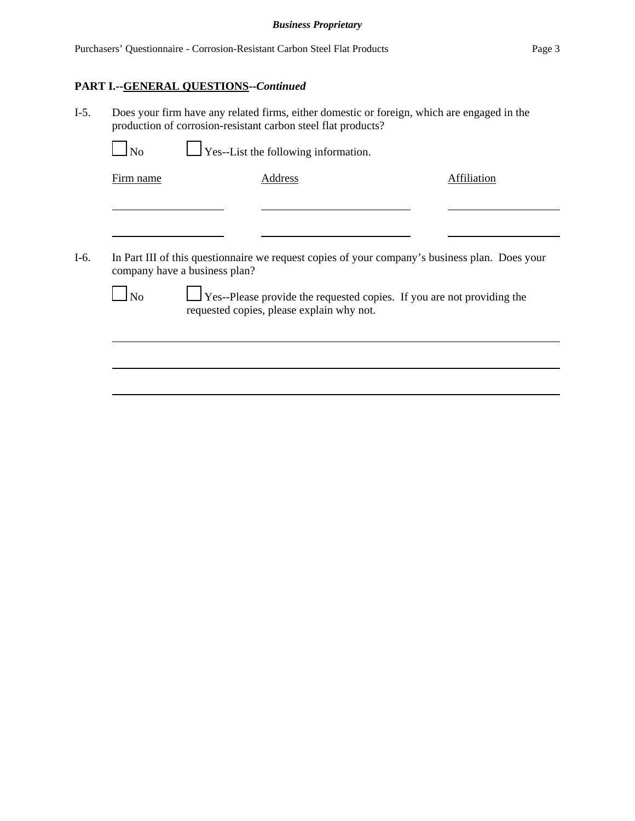# **PART I.--GENERAL QUESTIONS--***Continued*

I-5. Does your firm have any related firms, either domestic or foreign, which are engaged in the production of corrosion-resistant carbon steel flat products?

|        | N <sub>0</sub> |                               | <b>Yes--List the following information.</b>                                                    |             |
|--------|----------------|-------------------------------|------------------------------------------------------------------------------------------------|-------------|
|        | Firm name      |                               | Address                                                                                        | Affiliation |
|        |                |                               |                                                                                                |             |
|        |                |                               |                                                                                                |             |
| $I-6.$ |                | company have a business plan? | In Part III of this questionnaire we request copies of your company's business plan. Does your |             |
|        |                |                               |                                                                                                |             |

 $\Box$  No  $\Box$  Yes--Please provide the requested copies. If you are not providing the requested copies, please explain why not.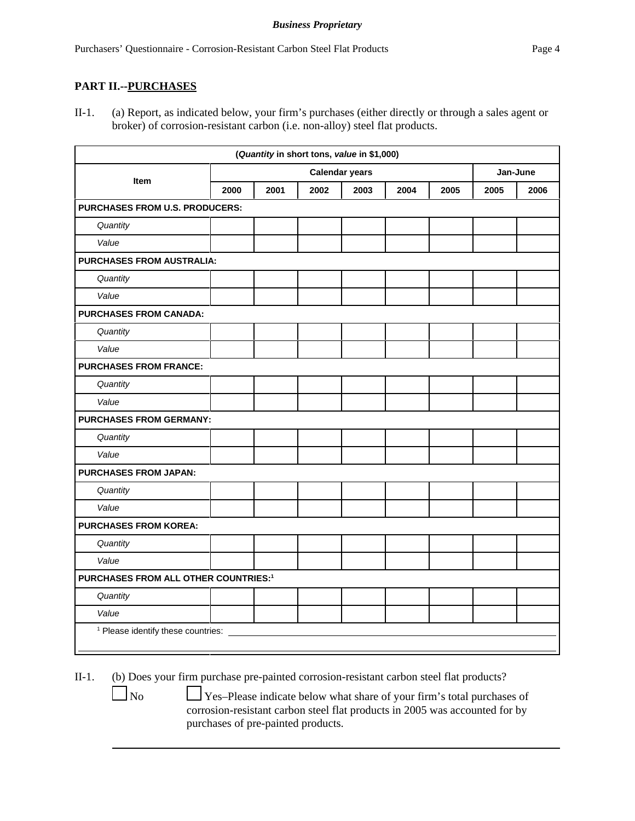## **PART II.--PURCHASES**

II-1. (a) Report, as indicated below, your firm's purchases (either directly or through a sales agent or broker) of corrosion-resistant carbon (i.e. non-alloy) steel flat products.

|                                                  |                       |      |      | (Quantity in short tons, value in \$1,000) |      |      |          |      |
|--------------------------------------------------|-----------------------|------|------|--------------------------------------------|------|------|----------|------|
| Item                                             | <b>Calendar years</b> |      |      |                                            |      |      | Jan-June |      |
|                                                  | 2000                  | 2001 | 2002 | 2003                                       | 2004 | 2005 | 2005     | 2006 |
| <b>PURCHASES FROM U.S. PRODUCERS:</b>            |                       |      |      |                                            |      |      |          |      |
| Quantity                                         |                       |      |      |                                            |      |      |          |      |
| Value                                            |                       |      |      |                                            |      |      |          |      |
| <b>PURCHASES FROM AUSTRALIA:</b>                 |                       |      |      |                                            |      |      |          |      |
| Quantity                                         |                       |      |      |                                            |      |      |          |      |
| Value                                            |                       |      |      |                                            |      |      |          |      |
| <b>PURCHASES FROM CANADA:</b>                    |                       |      |      |                                            |      |      |          |      |
| Quantity                                         |                       |      |      |                                            |      |      |          |      |
| Value                                            |                       |      |      |                                            |      |      |          |      |
| <b>PURCHASES FROM FRANCE:</b>                    |                       |      |      |                                            |      |      |          |      |
| Quantity                                         |                       |      |      |                                            |      |      |          |      |
| Value                                            |                       |      |      |                                            |      |      |          |      |
| <b>PURCHASES FROM GERMANY:</b>                   |                       |      |      |                                            |      |      |          |      |
| Quantity                                         |                       |      |      |                                            |      |      |          |      |
| Value                                            |                       |      |      |                                            |      |      |          |      |
| <b>PURCHASES FROM JAPAN:</b>                     |                       |      |      |                                            |      |      |          |      |
| Quantity                                         |                       |      |      |                                            |      |      |          |      |
| Value                                            |                       |      |      |                                            |      |      |          |      |
| <b>PURCHASES FROM KOREA:</b>                     |                       |      |      |                                            |      |      |          |      |
| Quantity                                         |                       |      |      |                                            |      |      |          |      |
| Value                                            |                       |      |      |                                            |      |      |          |      |
| PURCHASES FROM ALL OTHER COUNTRIES: <sup>1</sup> |                       |      |      |                                            |      |      |          |      |
| Quantity                                         |                       |      |      |                                            |      |      |          |      |
| Value                                            |                       |      |      |                                            |      |      |          |      |
| <sup>1</sup> Please identify these countries: _  |                       |      |      |                                            |      |      |          |      |

II-1. (b) Does your firm purchase pre-painted corrosion-resistant carbon steel flat products?

 $\Box$  No  $\Box$  Yes–Please indicate below what share of your firm's total purchases of

corrosion-resistant carbon steel flat products in 2005 was accounted for by purchases of pre-painted products.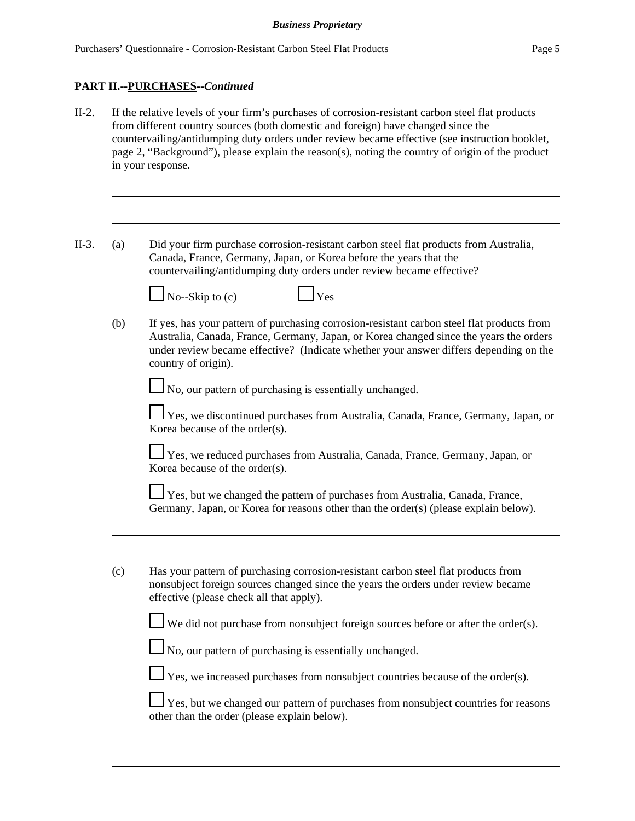#### **PART II.--PURCHASES--***Continued*

- II-2. If the relative levels of your firm's purchases of corrosion-resistant carbon steel flat products from different country sources (both domestic and foreign) have changed since the countervailing/antidumping duty orders under review became effective (see instruction booklet, page 2, "Background"), please explain the reason(s), noting the country of origin of the product in your response.
- II-3. (a) Did your firm purchase corrosion-resistant carbon steel flat products from Australia, Canada, France, Germany, Japan, or Korea before the years that the countervailing/antidumping duty orders under review became effective?

 $\Box$  No--Skip to (c)  $\Box$  Yes



(b) If yes, has your pattern of purchasing corrosion-resistant carbon steel flat products from Australia, Canada, France, Germany, Japan, or Korea changed since the years the orders under review became effective? (Indicate whether your answer differs depending on the country of origin).

No, our pattern of purchasing is essentially unchanged.

 Yes, we discontinued purchases from Australia, Canada, France, Germany, Japan, or Korea because of the order(s).

Yes, we reduced purchases from Australia, Canada, France, Germany, Japan, or Korea because of the order(s).

 Yes, but we changed the pattern of purchases from Australia, Canada, France, Germany, Japan, or Korea for reasons other than the order(s) (please explain below).

(c) Has your pattern of purchasing corrosion-resistant carbon steel flat products from nonsubject foreign sources changed since the years the orders under review became effective (please check all that apply).

 $\perp$  We did not purchase from nonsubject foreign sources before or after the order(s).

 $\Box$  No, our pattern of purchasing is essentially unchanged.

 $\perp$  Yes, we increased purchases from nonsubject countries because of the order(s).

 $\perp$  Yes, but we changed our pattern of purchases from nonsubject countries for reasons other than the order (please explain below).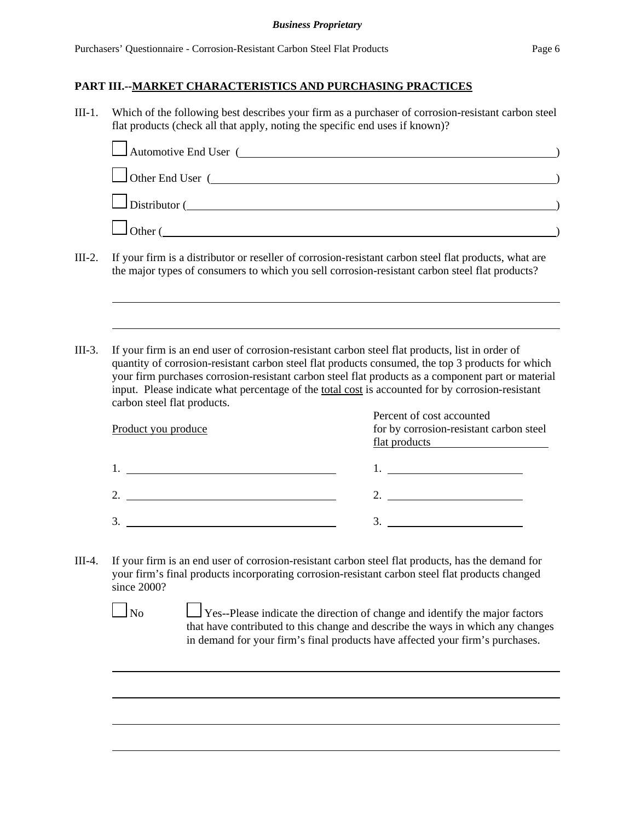| $III-1.$ |                             | flat products (check all that apply, noting the specific end uses if known)?                                                                                                                                                                                                                                           | Which of the following best describes your firm as a purchaser of corrosion-resistant carbon steel                                                                                                                                                                                                                                                                                                                                                      |
|----------|-----------------------------|------------------------------------------------------------------------------------------------------------------------------------------------------------------------------------------------------------------------------------------------------------------------------------------------------------------------|---------------------------------------------------------------------------------------------------------------------------------------------------------------------------------------------------------------------------------------------------------------------------------------------------------------------------------------------------------------------------------------------------------------------------------------------------------|
|          |                             | Automotive End User (                                                                                                                                                                                                                                                                                                  |                                                                                                                                                                                                                                                                                                                                                                                                                                                         |
|          |                             |                                                                                                                                                                                                                                                                                                                        | Other End User (                                                                                                                                                                                                                                                                                                                                                                                                                                        |
|          |                             |                                                                                                                                                                                                                                                                                                                        | Distributor (                                                                                                                                                                                                                                                                                                                                                                                                                                           |
|          |                             |                                                                                                                                                                                                                                                                                                                        | $\Box$ Other (                                                                                                                                                                                                                                                                                                                                                                                                                                          |
| $III-2.$ |                             | the major types of consumers to which you sell corrosion-resistant carbon steel flat products?                                                                                                                                                                                                                         | If your firm is a distributor or reseller of corrosion-resistant carbon steel flat products, what are                                                                                                                                                                                                                                                                                                                                                   |
| $III-3.$ | carbon steel flat products. | If your firm is an end user of corrosion-resistant carbon steel flat products, list in order of                                                                                                                                                                                                                        | quantity of corrosion-resistant carbon steel flat products consumed, the top 3 products for which<br>your firm purchases corrosion-resistant carbon steel flat products as a component part or material<br>input. Please indicate what percentage of the total cost is accounted for by corrosion-resistant                                                                                                                                             |
|          | Product you produce         |                                                                                                                                                                                                                                                                                                                        | Percent of cost accounted<br>for by corrosion-resistant carbon steel<br>flat products <b>Exercise 2.1 Figure 1.1 Figure 2.1</b>                                                                                                                                                                                                                                                                                                                         |
|          |                             | $1.$ $\frac{1}{2}$ $\frac{1}{2}$ $\frac{1}{2}$ $\frac{1}{2}$ $\frac{1}{2}$ $\frac{1}{2}$ $\frac{1}{2}$ $\frac{1}{2}$ $\frac{1}{2}$ $\frac{1}{2}$ $\frac{1}{2}$ $\frac{1}{2}$ $\frac{1}{2}$ $\frac{1}{2}$ $\frac{1}{2}$ $\frac{1}{2}$ $\frac{1}{2}$ $\frac{1}{2}$ $\frac{1}{2}$ $\frac{1}{2}$ $\frac{1}{2}$ $\frac{1}{$ | 1. <u>______________________</u>                                                                                                                                                                                                                                                                                                                                                                                                                        |
|          |                             | 2. $\overline{\phantom{a}}$                                                                                                                                                                                                                                                                                            | 2.                                                                                                                                                                                                                                                                                                                                                                                                                                                      |
|          |                             |                                                                                                                                                                                                                                                                                                                        | $\frac{3}{2}$                                                                                                                                                                                                                                                                                                                                                                                                                                           |
| $III-4.$ | since 2000?<br>$\Box$ No    |                                                                                                                                                                                                                                                                                                                        | If your firm is an end user of corrosion-resistant carbon steel flat products, has the demand for<br>your firm's final products incorporating corrosion-resistant carbon steel flat products changed<br>Yes--Please indicate the direction of change and identify the major factors<br>that have contributed to this change and describe the ways in which any changes<br>in demand for your firm's final products have affected your firm's purchases. |
|          |                             |                                                                                                                                                                                                                                                                                                                        |                                                                                                                                                                                                                                                                                                                                                                                                                                                         |
|          |                             |                                                                                                                                                                                                                                                                                                                        |                                                                                                                                                                                                                                                                                                                                                                                                                                                         |
|          |                             |                                                                                                                                                                                                                                                                                                                        |                                                                                                                                                                                                                                                                                                                                                                                                                                                         |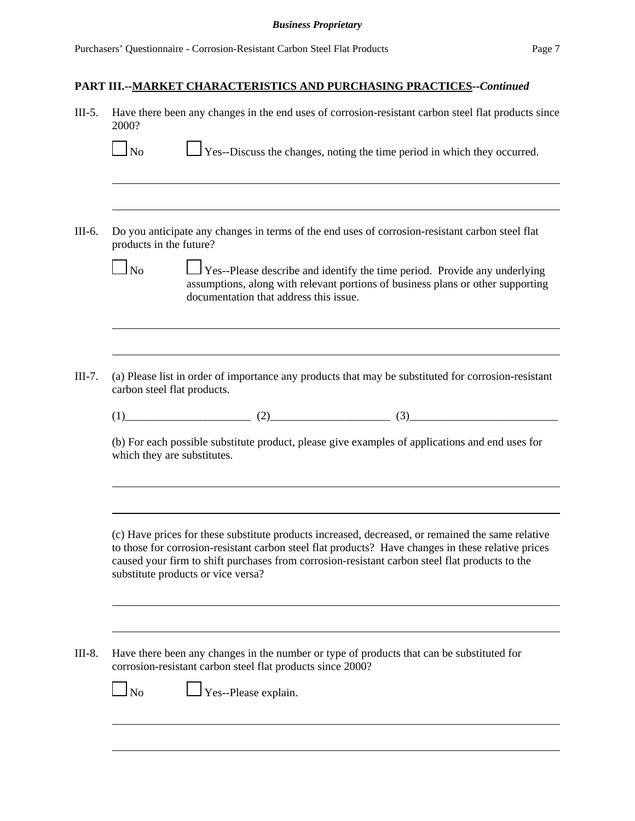| $III-5.$ | Have there been any changes in the end uses of corrosion-resistant carbon steel flat products since<br>2000?                                                                                                                                                                                                                                    |  |  |  |  |  |  |
|----------|-------------------------------------------------------------------------------------------------------------------------------------------------------------------------------------------------------------------------------------------------------------------------------------------------------------------------------------------------|--|--|--|--|--|--|
|          | $\Box$ Yes--Discuss the changes, noting the time period in which they occurred.<br>$\Box$ No                                                                                                                                                                                                                                                    |  |  |  |  |  |  |
| III-6.   | Do you anticipate any changes in terms of the end uses of corrosion-resistant carbon steel flat                                                                                                                                                                                                                                                 |  |  |  |  |  |  |
|          | products in the future?                                                                                                                                                                                                                                                                                                                         |  |  |  |  |  |  |
|          | $\frac{1}{1}$ Yes--Please describe and identify the time period. Provide any underlying<br>$\overline{\phantom{a}}$ No<br>assumptions, along with relevant portions of business plans or other supporting<br>documentation that address this issue.                                                                                             |  |  |  |  |  |  |
|          |                                                                                                                                                                                                                                                                                                                                                 |  |  |  |  |  |  |
| $III-7.$ | (a) Please list in order of importance any products that may be substituted for corrosion-resistant<br>carbon steel flat products.                                                                                                                                                                                                              |  |  |  |  |  |  |
|          | $(1)$ $(2)$ $(3)$ $(3)$                                                                                                                                                                                                                                                                                                                         |  |  |  |  |  |  |
|          | (b) For each possible substitute product, please give examples of applications and end uses for<br>which they are substitutes.                                                                                                                                                                                                                  |  |  |  |  |  |  |
|          |                                                                                                                                                                                                                                                                                                                                                 |  |  |  |  |  |  |
|          | (c) Have prices for these substitute products increased, decreased, or remained the same relative<br>to those for corrosion-resistant carbon steel flat products? Have changes in these relative prices<br>caused your firm to shift purchases from corrosion-resistant carbon steel flat products to the<br>substitute products or vice versa? |  |  |  |  |  |  |
| III-8.   | Have there been any changes in the number or type of products that can be substituted for<br>corrosion-resistant carbon steel flat products since 2000?                                                                                                                                                                                         |  |  |  |  |  |  |
|          | Yes--Please explain.<br>$\Box$ No                                                                                                                                                                                                                                                                                                               |  |  |  |  |  |  |
|          |                                                                                                                                                                                                                                                                                                                                                 |  |  |  |  |  |  |
|          |                                                                                                                                                                                                                                                                                                                                                 |  |  |  |  |  |  |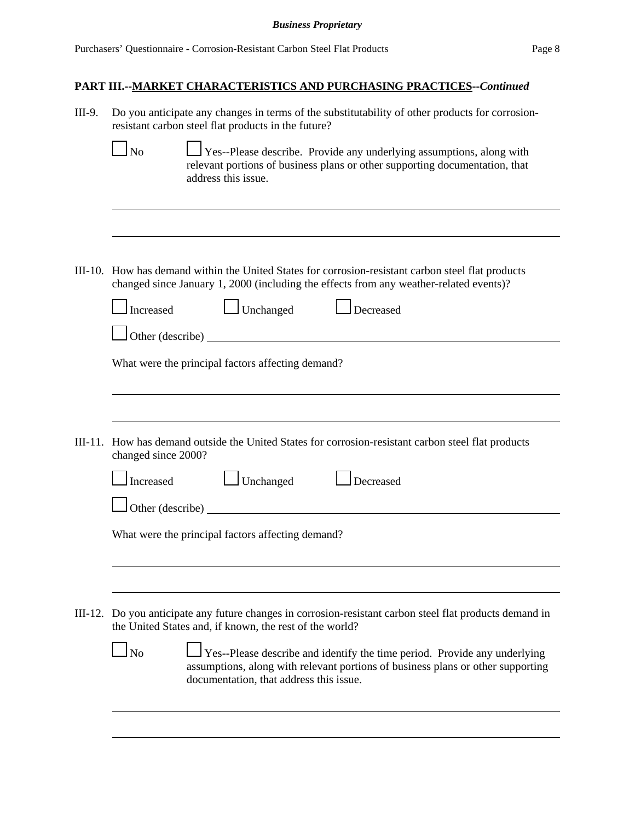| III-9. | Do you anticipate any changes in terms of the substitutability of other products for corrosion-<br>resistant carbon steel flat products in the future?                                                           |
|--------|------------------------------------------------------------------------------------------------------------------------------------------------------------------------------------------------------------------|
|        | <b>No</b><br>Yes--Please describe. Provide any underlying assumptions, along with<br>relevant portions of business plans or other supporting documentation, that<br>address this issue.                          |
|        |                                                                                                                                                                                                                  |
|        | III-10. How has demand within the United States for corrosion-resistant carbon steel flat products<br>changed since January 1, 2000 (including the effects from any weather-related events)?                     |
|        | $\Box$ Unchanged<br>Increased<br>Decreased                                                                                                                                                                       |
|        | Other (describe)                                                                                                                                                                                                 |
|        | What were the principal factors affecting demand?                                                                                                                                                                |
|        |                                                                                                                                                                                                                  |
|        | III-11. How has demand outside the United States for corrosion-resistant carbon steel flat products<br>changed since 2000?                                                                                       |
|        | $\Box$ Unchanged<br>$\Box$ Decreased<br>Increased                                                                                                                                                                |
|        | Other (describe)                                                                                                                                                                                                 |
|        | What were the principal factors affecting demand?                                                                                                                                                                |
|        |                                                                                                                                                                                                                  |
|        | III-12. Do you anticipate any future changes in corrosion-resistant carbon steel flat products demand in<br>the United States and, if known, the rest of the world?                                              |
|        | $\ln$<br>Yes--Please describe and identify the time period. Provide any underlying<br>assumptions, along with relevant portions of business plans or other supporting<br>documentation, that address this issue. |
|        |                                                                                                                                                                                                                  |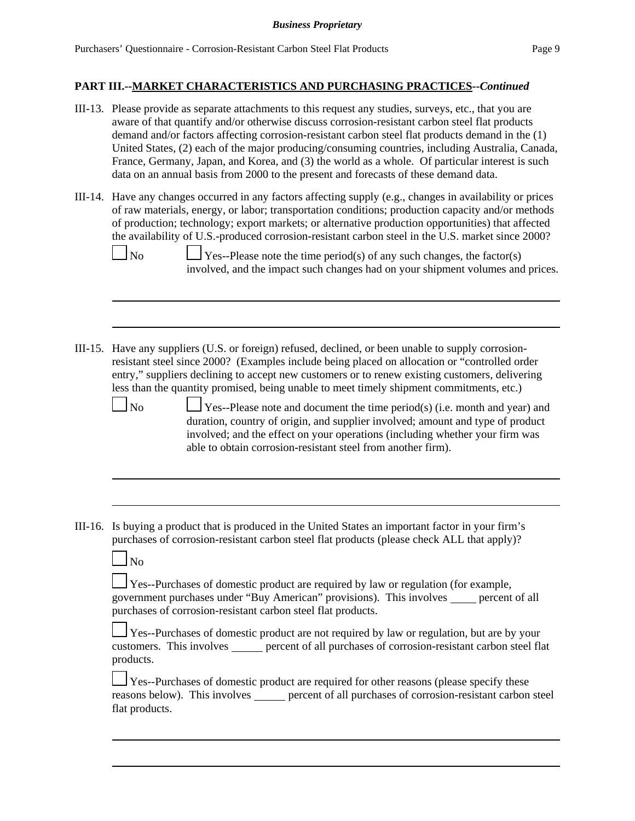- III-13. Please provide as separate attachments to this request any studies, surveys, etc., that you are aware of that quantify and/or otherwise discuss corrosion-resistant carbon steel flat products demand and/or factors affecting corrosion-resistant carbon steel flat products demand in the (1) United States, (2) each of the major producing/consuming countries, including Australia, Canada, France, Germany, Japan, and Korea, and (3) the world as a whole. Of particular interest is such data on an annual basis from 2000 to the present and forecasts of these demand data.
- III-14. Have any changes occurred in any factors affecting supply (e.g., changes in availability or prices of raw materials, energy, or labor; transportation conditions; production capacity and/or methods of production; technology; export markets; or alternative production opportunities) that affected the availability of U.S.-produced corrosion-resistant carbon steel in the U.S. market since 2000?

 $\Box$  Yes--Please note the time period(s) of any such changes, the factor(s) involved, and the impact such changes had on your shipment volumes and prices.

III-15. Have any suppliers (U.S. or foreign) refused, declined, or been unable to supply corrosionresistant steel since 2000? (Examples include being placed on allocation or "controlled order entry," suppliers declining to accept new customers or to renew existing customers, delivering less than the quantity promised, being unable to meet timely shipment commitments, etc.)

 $\Box$  No  $\Box$  Yes--Please note and document the time period(s) (i.e. month and year) and duration, country of origin, and supplier involved; amount and type of product involved; and the effect on your operations (including whether your firm was able to obtain corrosion-resistant steel from another firm).

III-16. Is buying a product that is produced in the United States an important factor in your firm's purchases of corrosion-resistant carbon steel flat products (please check ALL that apply)?

| ×<br>۰. |
|---------|
|---------|

Yes--Purchases of domestic product are required by law or regulation (for example, government purchases under "Buy American" provisions). This involves \_\_\_\_\_ percent of all purchases of corrosion-resistant carbon steel flat products.

Yes--Purchases of domestic product are not required by law or regulation, but are by your customers. This involves percent of all purchases of corrosion-resistant carbon steel flat products.

Yes--Purchases of domestic product are required for other reasons (please specify these reasons below). This involves **percent of all purchases of corrosion-resistant carbon steel** flat products.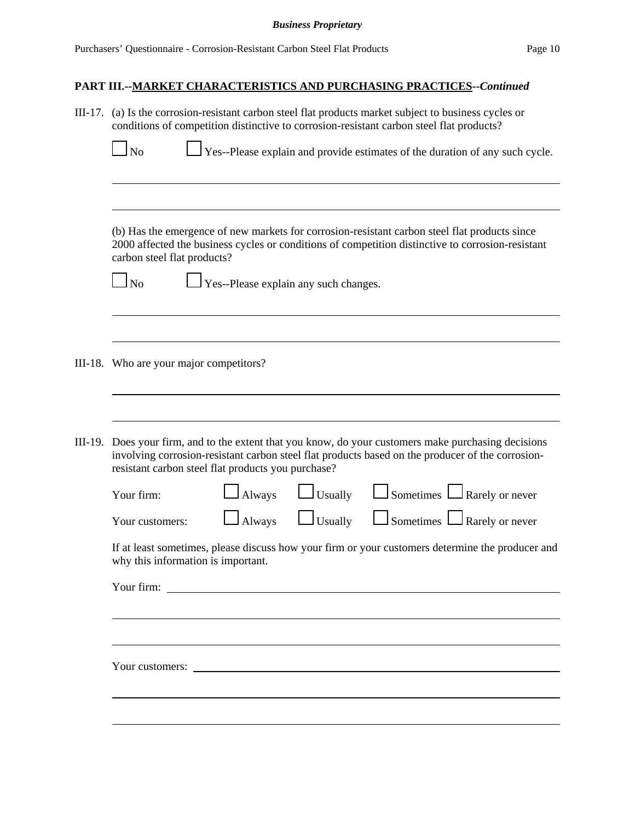|  | III-17. (a) Is the corrosion-resistant carbon steel flat products market subject to business cycles or<br>conditions of competition distinctive to corrosion-resistant carbon steel flat products? |                                                                                                                                                                                                                                   |                |                                                                                                                                                                                                          |  |  |  |  |
|--|----------------------------------------------------------------------------------------------------------------------------------------------------------------------------------------------------|-----------------------------------------------------------------------------------------------------------------------------------------------------------------------------------------------------------------------------------|----------------|----------------------------------------------------------------------------------------------------------------------------------------------------------------------------------------------------------|--|--|--|--|
|  | $\Box$ Yes--Please explain and provide estimates of the duration of any such cycle.<br>$\Box$ No                                                                                                   |                                                                                                                                                                                                                                   |                |                                                                                                                                                                                                          |  |  |  |  |
|  |                                                                                                                                                                                                    |                                                                                                                                                                                                                                   |                |                                                                                                                                                                                                          |  |  |  |  |
|  |                                                                                                                                                                                                    | (b) Has the emergence of new markets for corrosion-resistant carbon steel flat products since<br>2000 affected the business cycles or conditions of competition distinctive to corrosion-resistant<br>carbon steel flat products? |                |                                                                                                                                                                                                          |  |  |  |  |
|  | $\Box$ No                                                                                                                                                                                          | $\Box$ Yes--Please explain any such changes.                                                                                                                                                                                      |                |                                                                                                                                                                                                          |  |  |  |  |
|  |                                                                                                                                                                                                    |                                                                                                                                                                                                                                   |                |                                                                                                                                                                                                          |  |  |  |  |
|  | III-18. Who are your major competitors?                                                                                                                                                            |                                                                                                                                                                                                                                   |                |                                                                                                                                                                                                          |  |  |  |  |
|  |                                                                                                                                                                                                    |                                                                                                                                                                                                                                   |                |                                                                                                                                                                                                          |  |  |  |  |
|  | resistant carbon steel flat products you purchase?                                                                                                                                                 |                                                                                                                                                                                                                                   |                | III-19. Does your firm, and to the extent that you know, do your customers make purchasing decisions<br>involving corrosion-resistant carbon steel flat products based on the producer of the corrosion- |  |  |  |  |
|  | Your firm:                                                                                                                                                                                         | Always                                                                                                                                                                                                                            | $\Box$ Usually | $\Box$ Sometimes $\Box$ Rarely or never                                                                                                                                                                  |  |  |  |  |
|  | Your customers:                                                                                                                                                                                    | Always                                                                                                                                                                                                                            | $\Box$ Usually | $\Box$ Sometimes $\Box$ Rarely or never                                                                                                                                                                  |  |  |  |  |
|  | If at least sometimes, please discuss how your firm or your customers determine the producer and<br>why this information is important.                                                             |                                                                                                                                                                                                                                   |                |                                                                                                                                                                                                          |  |  |  |  |
|  | Your firm:                                                                                                                                                                                         |                                                                                                                                                                                                                                   |                |                                                                                                                                                                                                          |  |  |  |  |
|  |                                                                                                                                                                                                    |                                                                                                                                                                                                                                   |                |                                                                                                                                                                                                          |  |  |  |  |
|  | Your customers:                                                                                                                                                                                    |                                                                                                                                                                                                                                   |                |                                                                                                                                                                                                          |  |  |  |  |
|  |                                                                                                                                                                                                    |                                                                                                                                                                                                                                   |                |                                                                                                                                                                                                          |  |  |  |  |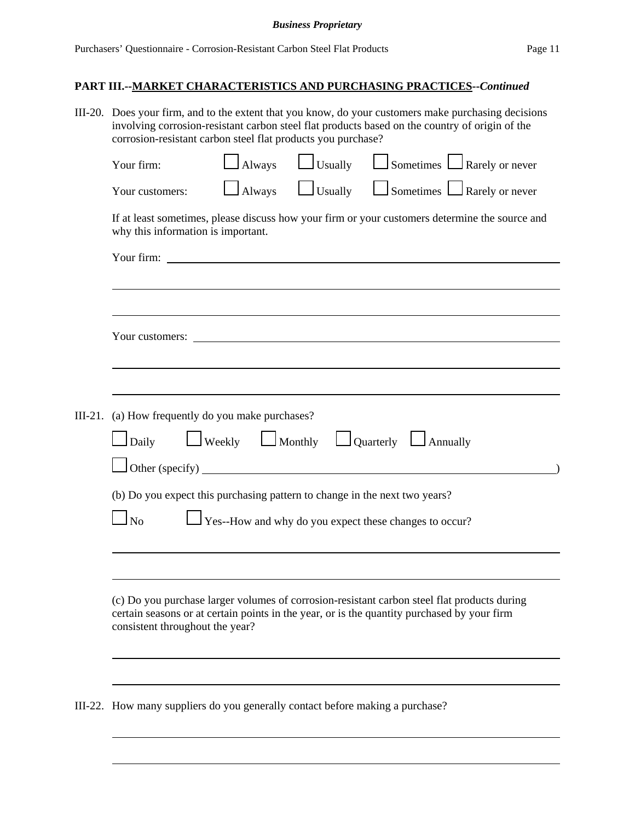|  | III-20. Does your firm, and to the extent that you know, do your customers make purchasing decisions<br>involving corrosion-resistant carbon steel flat products based on the country of origin of the<br>corrosion-resistant carbon steel flat products you purchase? |               |                |                                                                                                |  |  |  |
|--|------------------------------------------------------------------------------------------------------------------------------------------------------------------------------------------------------------------------------------------------------------------------|---------------|----------------|------------------------------------------------------------------------------------------------|--|--|--|
|  | Your firm:                                                                                                                                                                                                                                                             | $\Box$ Always |                | $\Box$ Usually $\Box$ Sometimes $\Box$ Rarely or never                                         |  |  |  |
|  | Your customers:                                                                                                                                                                                                                                                        | $\Box$ Always | $\Box$ Usually | $\Box$ Sometimes $\Box$ Rarely or never                                                        |  |  |  |
|  | why this information is important.                                                                                                                                                                                                                                     |               |                | If at least sometimes, please discuss how your firm or your customers determine the source and |  |  |  |
|  | Your firm: The Commission of the Commission of the Commission of the Commission of the Commission of the Commission of the Commission of the Commission of the Commission of the Commission of the Commission of the Commissio                                         |               |                |                                                                                                |  |  |  |
|  |                                                                                                                                                                                                                                                                        |               |                |                                                                                                |  |  |  |
|  | Your customers:                                                                                                                                                                                                                                                        |               |                |                                                                                                |  |  |  |
|  |                                                                                                                                                                                                                                                                        |               |                |                                                                                                |  |  |  |
|  | III-21. (a) How frequently do you make purchases?                                                                                                                                                                                                                      |               |                |                                                                                                |  |  |  |
|  | $\Box$ Weekly $\Box$ Monthly $\Box$ Quarterly $\Box$ Annually<br>$\Box$ Daily<br>Other (specify)                                                                                                                                                                       |               |                |                                                                                                |  |  |  |
|  | (b) Do you expect this purchasing pattern to change in the next two years?                                                                                                                                                                                             |               |                |                                                                                                |  |  |  |
|  | $\frac{1}{2}$ Yes--How and why do you expect these changes to occur?<br>No                                                                                                                                                                                             |               |                |                                                                                                |  |  |  |
|  |                                                                                                                                                                                                                                                                        |               |                |                                                                                                |  |  |  |
|  | (c) Do you purchase larger volumes of corrosion-resistant carbon steel flat products during<br>certain seasons or at certain points in the year, or is the quantity purchased by your firm<br>consistent throughout the year?                                          |               |                |                                                                                                |  |  |  |
|  |                                                                                                                                                                                                                                                                        |               |                |                                                                                                |  |  |  |
|  | III-22. How many suppliers do you generally contact before making a purchase?                                                                                                                                                                                          |               |                |                                                                                                |  |  |  |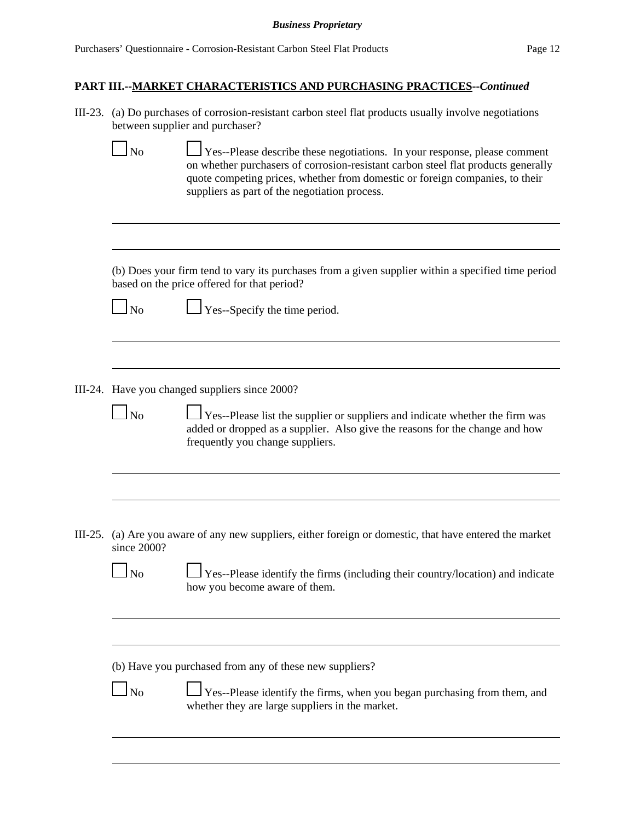| III-23. (a) Do purchases of corrosion-resistant carbon steel flat products usually involve negotiations |
|---------------------------------------------------------------------------------------------------------|
| between supplier and purchaser?                                                                         |

 $\Box$  No  $\Box$  Yes--Please describe these negotiations. In your response, please comment on whether purchasers of corrosion-resistant carbon steel flat products generally quote competing prices, whether from domestic or foreign companies, to their suppliers as part of the negotiation process.

(b) Does your firm tend to vary its purchases from a given supplier within a specified time period based on the price offered for that period?

 $\Box$  No  $\Box$  Yes--Specify the time period.

III-24. Have you changed suppliers since 2000?

 $\Box$  Yes--Please list the supplier or suppliers and indicate whether the firm was added or dropped as a supplier. Also give the reasons for the change and how frequently you change suppliers.

III-25. (a) Are you aware of any new suppliers, either foreign or domestic, that have entered the market since 2000?

 No Yes--Please identify the firms (including their country/location) and indicate how you become aware of them.

(b) Have you purchased from any of these new suppliers?

|--|--|

 $\Box$  Yes--Please identify the firms, when you began purchasing from them, and whether they are large suppliers in the market.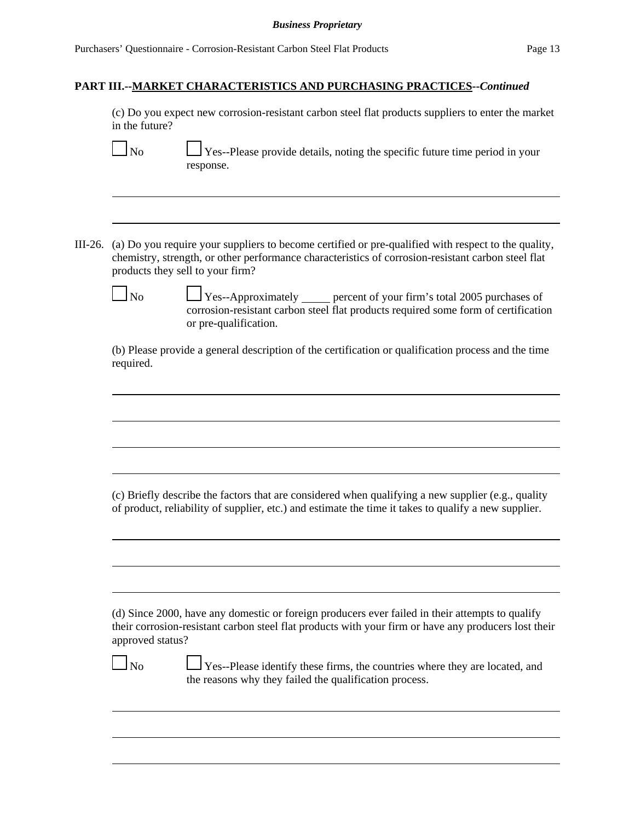#### **PART III.--MARKET CHARACTERISTICS AND PURCHASING PRACTICES--***Continued*

(c) Do you expect new corrosion-resistant carbon steel flat products suppliers to enter the market in the future?

 $\Box$  No  $\Box$  Yes--Please provide details, noting the specific future time period in your response.

III-26. (a) Do you require your suppliers to become certified or pre-qualified with respect to the quality, chemistry, strength, or other performance characteristics of corrosion-resistant carbon steel flat products they sell to your firm?

 $\Box$  No  $\Box$  Yes--Approximately percent of your firm's total 2005 purchases of corrosion-resistant carbon steel flat products required some form of certification or pre-qualification.

(b) Please provide a general description of the certification or qualification process and the time required.

(c) Briefly describe the factors that are considered when qualifying a new supplier (e.g., quality of product, reliability of supplier, etc.) and estimate the time it takes to qualify a new supplier.

(d) Since 2000, have any domestic or foreign producers ever failed in their attempts to qualify their corrosion-resistant carbon steel flat products with your firm or have any producers lost their approved status?

 $\Box$  No  $\Box$  Yes--Please identify these firms, the countries where they are located, and the reasons why they failed the qualification process.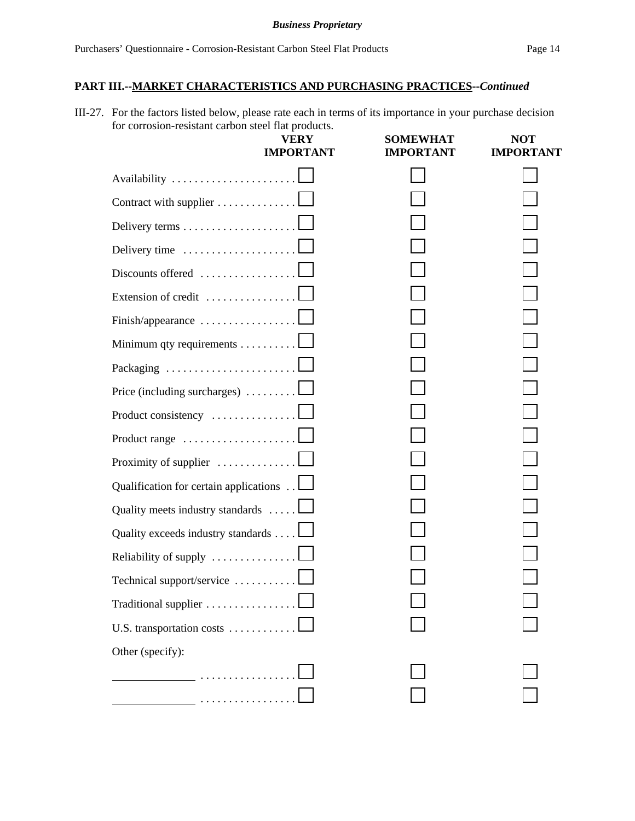III-27. For the factors listed below, please rate each in terms of its importance in your purchase decision for corrosion-resistant carbon steel flat products.

| corrosión resistant caroon steer mat procession             | <b>VERY</b><br><b>IMPORTANT</b> | <b>SOMEWHAT</b><br><b>IMPORTANT</b> | <b>NOT</b><br><b>IMPORTANT</b> |
|-------------------------------------------------------------|---------------------------------|-------------------------------------|--------------------------------|
|                                                             |                                 |                                     |                                |
| Contract with supplier                                      |                                 |                                     |                                |
|                                                             |                                 |                                     |                                |
|                                                             |                                 |                                     |                                |
| Discounts offered $\dots\dots\dots\dots\dots$               |                                 |                                     |                                |
| Extension of credit                                         |                                 |                                     |                                |
| Finish/appearance                                           |                                 |                                     |                                |
| Minimum qty requirements                                    |                                 |                                     |                                |
|                                                             |                                 |                                     |                                |
| Price (including surcharges) $\ldots \ldots \ldots \square$ |                                 |                                     |                                |
| Product consistency                                         |                                 |                                     |                                |
| Product range $\ldots \ldots \ldots \ldots \ldots \ldots$   |                                 |                                     |                                |
| Proximity of supplier $\dots \dots \dots \dots \dots$       |                                 |                                     |                                |
| Qualification for certain applications $\Box$               |                                 |                                     |                                |
| Quality meets industry standards                            |                                 |                                     |                                |
| Quality exceeds industry standards                          |                                 |                                     |                                |
| Reliability of supply                                       |                                 |                                     |                                |
| Technical support/service                                   |                                 |                                     |                                |
| Traditional supplier                                        |                                 |                                     |                                |
| U.S. transportation costs                                   |                                 |                                     |                                |
| Other (specify):                                            |                                 |                                     |                                |
| _                                                           |                                 |                                     |                                |
| .                                                           |                                 |                                     |                                |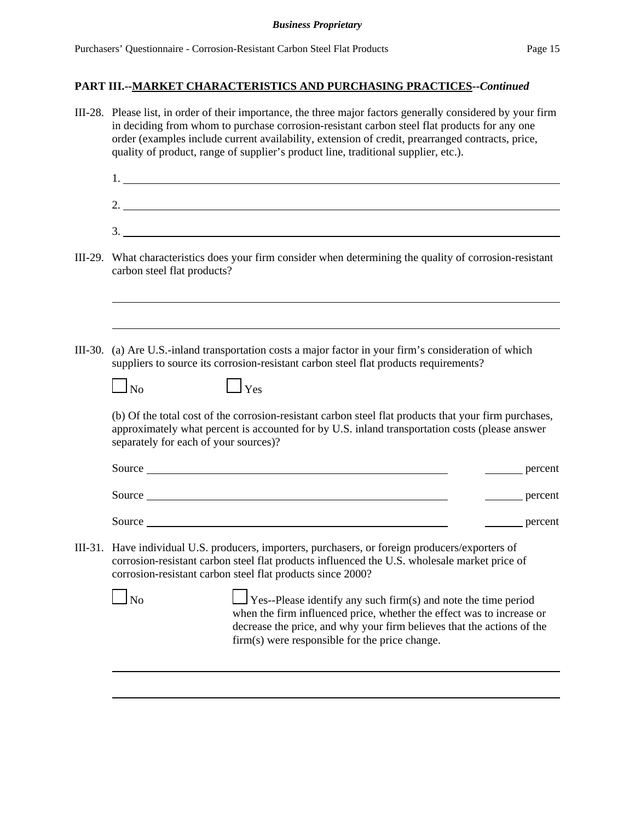| III-28. Please list, in order of their importance, the three major factors generally considered by your firm<br>in deciding from whom to purchase corrosion-resistant carbon steel flat products for any one<br>order (examples include current availability, extension of credit, prearranged contracts, price,<br>quality of product, range of supplier's product line, traditional supplier, etc.). |  |  |  |  |  |
|--------------------------------------------------------------------------------------------------------------------------------------------------------------------------------------------------------------------------------------------------------------------------------------------------------------------------------------------------------------------------------------------------------|--|--|--|--|--|
|                                                                                                                                                                                                                                                                                                                                                                                                        |  |  |  |  |  |
| 2. $\overline{\phantom{a}}$                                                                                                                                                                                                                                                                                                                                                                            |  |  |  |  |  |
| $\frac{1}{2}$                                                                                                                                                                                                                                                                                                                                                                                          |  |  |  |  |  |
| III-29. What characteristics does your firm consider when determining the quality of corrosion-resistant<br>carbon steel flat products?                                                                                                                                                                                                                                                                |  |  |  |  |  |
|                                                                                                                                                                                                                                                                                                                                                                                                        |  |  |  |  |  |
| III-30. (a) Are U.S.-inland transportation costs a major factor in your firm's consideration of which<br>suppliers to source its corrosion-resistant carbon steel flat products requirements?                                                                                                                                                                                                          |  |  |  |  |  |
| $\Box$ Yes<br>$\Box$ No                                                                                                                                                                                                                                                                                                                                                                                |  |  |  |  |  |
| (b) Of the total cost of the corrosion-resistant carbon steel flat products that your firm purchases,<br>approximately what percent is accounted for by U.S. inland transportation costs (please answer<br>separately for each of your sources)?                                                                                                                                                       |  |  |  |  |  |
| percent                                                                                                                                                                                                                                                                                                                                                                                                |  |  |  |  |  |
| Source<br><u>equal</u> percent                                                                                                                                                                                                                                                                                                                                                                         |  |  |  |  |  |
| Source<br>percent                                                                                                                                                                                                                                                                                                                                                                                      |  |  |  |  |  |
| III-31. Have individual U.S. producers, importers, purchasers, or foreign producers/exporters of<br>corrosion-resistant carbon steel flat products influenced the U.S. wholesale market price of<br>corrosion-resistant carbon steel flat products since 2000?                                                                                                                                         |  |  |  |  |  |
| $\log$<br>Yes--Please identify any such firm(s) and note the time period<br>when the firm influenced price, whether the effect was to increase or<br>decrease the price, and why your firm believes that the actions of the<br>firm(s) were responsible for the price change.                                                                                                                          |  |  |  |  |  |
|                                                                                                                                                                                                                                                                                                                                                                                                        |  |  |  |  |  |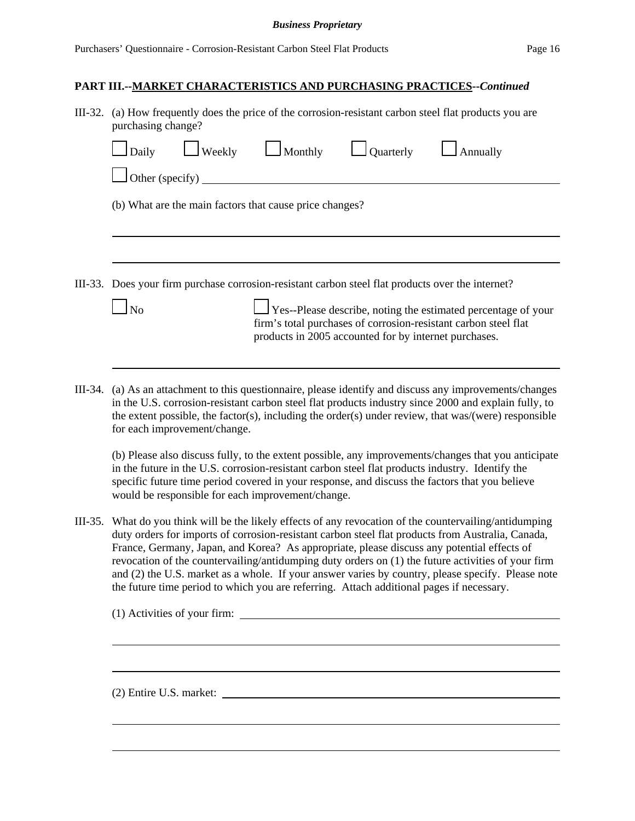#### **PART III.--MARKET CHARACTERISTICS AND PURCHASING PRACTICES--***Continued*

| III-32. (a) How frequently does the price of the corrosion-resistant carbon steel flat products you are<br>purchasing change?                                                                    |                                                         |  |          |  |  |  |  |
|--------------------------------------------------------------------------------------------------------------------------------------------------------------------------------------------------|---------------------------------------------------------|--|----------|--|--|--|--|
| $\Box$ Daily $\Box$ Weekly $\Box$ Monthly $\Box$ Quarterly                                                                                                                                       |                                                         |  | Annually |  |  |  |  |
| Other (specify)                                                                                                                                                                                  |                                                         |  |          |  |  |  |  |
|                                                                                                                                                                                                  | (b) What are the main factors that cause price changes? |  |          |  |  |  |  |
|                                                                                                                                                                                                  |                                                         |  |          |  |  |  |  |
|                                                                                                                                                                                                  |                                                         |  |          |  |  |  |  |
| III-33. Does your firm purchase corrosion-resistant carbon steel flat products over the internet?                                                                                                |                                                         |  |          |  |  |  |  |
| $\Box$ Yes--Please describe, noting the estimated percentage of your<br>firm's total purchases of corrosion-resistant carbon steel flat<br>products in 2005 accounted for by internet purchases. |                                                         |  |          |  |  |  |  |
|                                                                                                                                                                                                  |                                                         |  |          |  |  |  |  |

III-34. (a) As an attachment to this questionnaire, please identify and discuss any improvements/changes in the U.S. corrosion-resistant carbon steel flat products industry since 2000 and explain fully, to the extent possible, the factor(s), including the order(s) under review, that was/(were) responsible for each improvement/change.

(b) Please also discuss fully, to the extent possible, any improvements/changes that you anticipate in the future in the U.S. corrosion-resistant carbon steel flat products industry. Identify the specific future time period covered in your response, and discuss the factors that you believe would be responsible for each improvement/change.

III-35. What do you think will be the likely effects of any revocation of the countervailing/antidumping duty orders for imports of corrosion-resistant carbon steel flat products from Australia, Canada, France, Germany, Japan, and Korea? As appropriate, please discuss any potential effects of revocation of the countervailing/antidumping duty orders on (1) the future activities of your firm and (2) the U.S. market as a whole. If your answer varies by country, please specify. Please note the future time period to which you are referring. Attach additional pages if necessary.

(1) Activities of your firm:

(2) Entire U.S. market: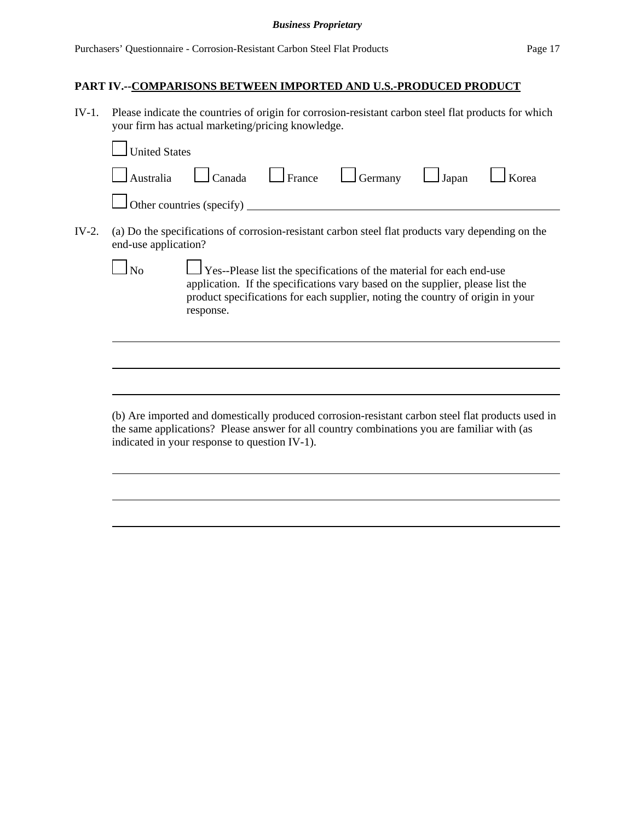# **PART IV.--COMPARISONS BETWEEN IMPORTED AND U.S.-PRODUCED PRODUCT**

IV-1. Please indicate the countries of origin for corrosion-resistant carbon steel flat products for which your firm has actual marketing/pricing knowledge.

|       | <b>United States</b> |                                                                                                                                                                                                                                                                     |
|-------|----------------------|---------------------------------------------------------------------------------------------------------------------------------------------------------------------------------------------------------------------------------------------------------------------|
|       | Australia            | France<br>Canada<br>Japan<br>Germany<br>Korea                                                                                                                                                                                                                       |
|       |                      | Other countries (specify)                                                                                                                                                                                                                                           |
| IV-2. | end-use application? | (a) Do the specifications of corrosion-resistant carbon steel flat products vary depending on the                                                                                                                                                                   |
|       |                      | $\frac{1}{2}$ Yes--Please list the specifications of the material for each end-use<br>application. If the specifications vary based on the supplier, please list the<br>product specifications for each supplier, noting the country of origin in your<br>response. |
|       |                      |                                                                                                                                                                                                                                                                     |
|       |                      |                                                                                                                                                                                                                                                                     |
|       |                      | (b) Are imported and domestically produced corrosion-resistant carbon steel flat products used in<br>the same applications? Please answer for all country combinations you are familiar with (as<br>indicated in your response to question IV-1).                   |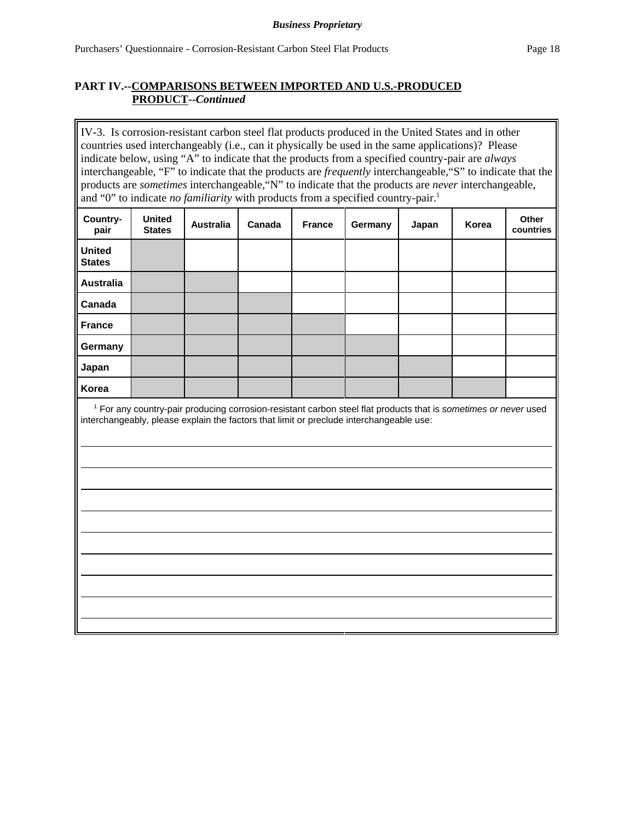## **PART IV.--COMPARISONS BETWEEN IMPORTED AND U.S.-PRODUCED PRODUCT--***Continued*

IV-3. Is corrosion-resistant carbon steel flat products produced in the United States and in other countries used interchangeably (i.e., can it physically be used in the same applications)? Please indicate below, using "A" to indicate that the products from a specified country-pair are *always* interchangeable, "F" to indicate that the products are *frequently* interchangeable,"S" to indicate that the products are *sometimes* interchangeable,"N" to indicate that the products are *never* interchangeable, and "0" to indicate *no familiarity* with products from a specified country-pair.<sup>1</sup>

| Country-<br>pair               | <b>United</b><br><b>States</b>                                                                                                                                                                                        | <b>Australia</b> | Canada | <b>France</b> | Germany | Japan | Korea | Other<br>countries |
|--------------------------------|-----------------------------------------------------------------------------------------------------------------------------------------------------------------------------------------------------------------------|------------------|--------|---------------|---------|-------|-------|--------------------|
| <b>United</b><br><b>States</b> |                                                                                                                                                                                                                       |                  |        |               |         |       |       |                    |
| <b>Australia</b>               |                                                                                                                                                                                                                       |                  |        |               |         |       |       |                    |
| Canada                         |                                                                                                                                                                                                                       |                  |        |               |         |       |       |                    |
| <b>France</b>                  |                                                                                                                                                                                                                       |                  |        |               |         |       |       |                    |
| Germany                        |                                                                                                                                                                                                                       |                  |        |               |         |       |       |                    |
| Japan                          |                                                                                                                                                                                                                       |                  |        |               |         |       |       |                    |
| Korea                          |                                                                                                                                                                                                                       |                  |        |               |         |       |       |                    |
|                                | <sup>1</sup> For any country-pair producing corrosion-resistant carbon steel flat products that is sometimes or never used<br>interchangeably, please explain the factors that limit or preclude interchangeable use: |                  |        |               |         |       |       |                    |
|                                |                                                                                                                                                                                                                       |                  |        |               |         |       |       |                    |
|                                |                                                                                                                                                                                                                       |                  |        |               |         |       |       |                    |
|                                |                                                                                                                                                                                                                       |                  |        |               |         |       |       |                    |
|                                |                                                                                                                                                                                                                       |                  |        |               |         |       |       |                    |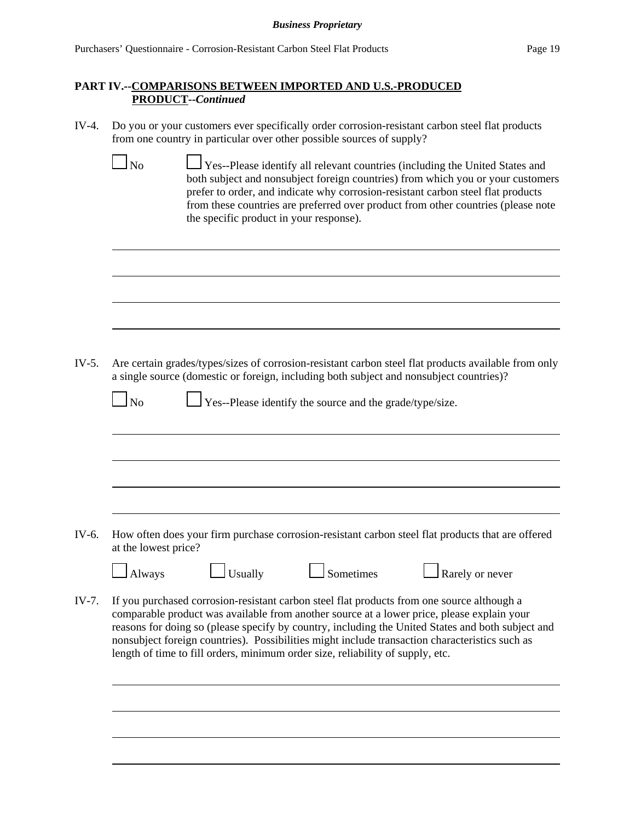## **PART IV.--COMPARISONS BETWEEN IMPORTED AND U.S.-PRODUCED PRODUCT--***Continued*

- IV-4. Do you or your customers ever specifically order corrosion-resistant carbon steel flat products from one country in particular over other possible sources of supply?
- No Yes--Please identify all relevant countries (including the United States and both subject and nonsubject foreign countries) from which you or your customers prefer to order, and indicate why corrosion-resistant carbon steel flat products from these countries are preferred over product from other countries (please note the specific product in your response). IV-5. Are certain grades/types/sizes of corrosion-resistant carbon steel flat products available from only a single source (domestic or foreign, including both subject and nonsubject countries)?  $\Box$  No  $\Box$  Yes--Please identify the source and the grade/type/size. IV-6. How often does your firm purchase corrosion-resistant carbon steel flat products that are offered at the lowest price? Always Usually Sometimes Rarely or never IV-7. If you purchased corrosion-resistant carbon steel flat products from one source although a comparable product was available from another source at a lower price, please explain your reasons for doing so (please specify by country, including the United States and both subject and nonsubject foreign countries). Possibilities might include transaction characteristics such as length of time to fill orders, minimum order size, reliability of supply, etc.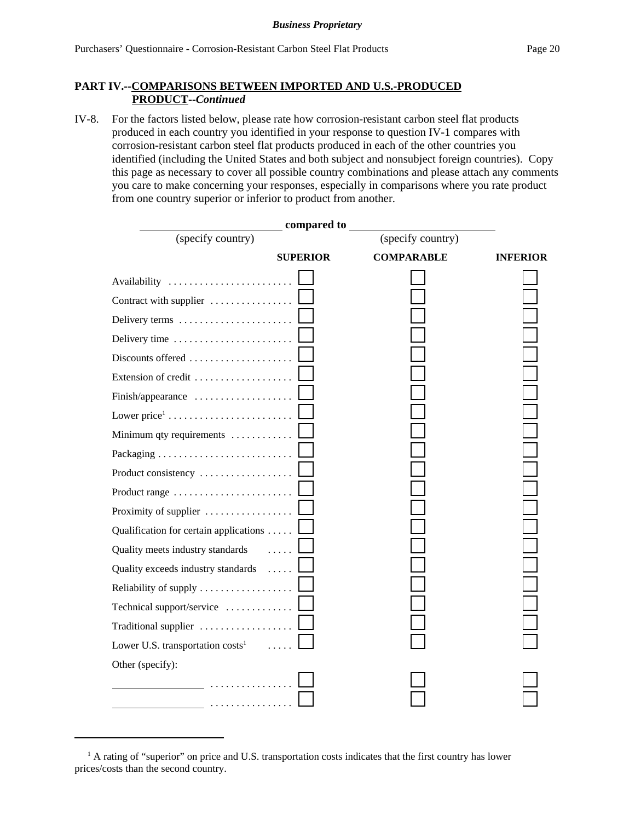## **PART IV.--COMPARISONS BETWEEN IMPORTED AND U.S.-PRODUCED PRODUCT--***Continued*

IV-8. For the factors listed below, please rate how corrosion-resistant carbon steel flat products produced in each country you identified in your response to question IV-1 compares with corrosion-resistant carbon steel flat products produced in each of the other countries you identified (including the United States and both subject and nonsubject foreign countries). Copy this page as necessary to cover all possible country combinations and please attach any comments you care to make concerning your responses, especially in comparisons where you rate product from one country superior or inferior to product from another.

|                                              | compared to     |                   |                 |
|----------------------------------------------|-----------------|-------------------|-----------------|
| (specify country)                            |                 | (specify country) |                 |
|                                              | <b>SUPERIOR</b> | <b>COMPARABLE</b> | <b>INFERIOR</b> |
| Availability                                 |                 |                   |                 |
| Contract with supplier                       |                 |                   |                 |
| Delivery terms                               |                 |                   |                 |
| Delivery time                                |                 |                   |                 |
| Discounts offered                            |                 |                   |                 |
| Extension of credit                          |                 |                   |                 |
| Finish/appearance                            |                 |                   |                 |
|                                              |                 |                   |                 |
| Minimum qty requirements                     |                 |                   |                 |
|                                              |                 |                   |                 |
| Product consistency                          |                 |                   |                 |
| Product range                                |                 |                   |                 |
| Proximity of supplier                        |                 |                   |                 |
| Qualification for certain applications       |                 |                   |                 |
| Quality meets industry standards             |                 |                   |                 |
| Quality exceeds industry standards           |                 |                   |                 |
| Reliability of supply                        |                 |                   |                 |
| Technical support/service                    |                 |                   |                 |
|                                              |                 |                   |                 |
| Lower U.S. transportation costs <sup>1</sup> |                 |                   |                 |
| Other (specify):                             |                 |                   |                 |
| .                                            |                 |                   |                 |
| .                                            |                 |                   |                 |

<sup>&</sup>lt;sup>1</sup> A rating of "superior" on price and U.S. transportation costs indicates that the first country has lower prices/costs than the second country.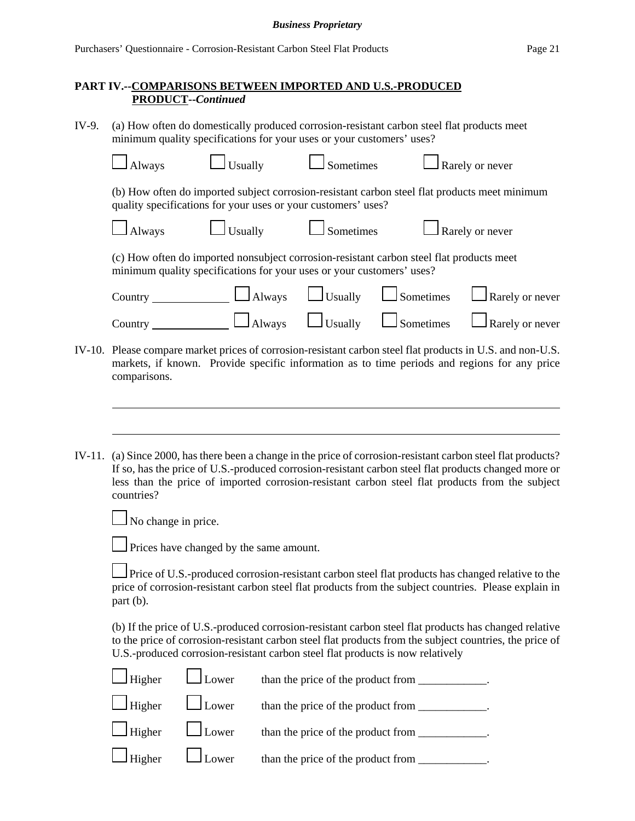IV-9. (a) How often do domestically produced corrosion-resistant carbon steel flat products meet minimum quality specifications for your uses or your customers' uses?

|        |                                                                                                                                                                                                                                                                                                                                  | minimum quanty specifications for your uses of your customers as |               |                                      |                  |                                                                                                   |  |
|--------|----------------------------------------------------------------------------------------------------------------------------------------------------------------------------------------------------------------------------------------------------------------------------------------------------------------------------------|------------------------------------------------------------------|---------------|--------------------------------------|------------------|---------------------------------------------------------------------------------------------------|--|
|        | Always                                                                                                                                                                                                                                                                                                                           | Usually                                                          |               | Sometimes                            |                  | Rarely or never                                                                                   |  |
|        | (b) How often do imported subject corrosion-resistant carbon steel flat products meet minimum<br>quality specifications for your uses or your customers' uses?                                                                                                                                                                   |                                                                  |               |                                      |                  |                                                                                                   |  |
|        | $\Box$ Always                                                                                                                                                                                                                                                                                                                    | Usually                                                          |               | Sometimes                            |                  | Rarely or never                                                                                   |  |
|        | (c) How often do imported nonsubject corrosion-resistant carbon steel flat products meet<br>minimum quality specifications for your uses or your customers' uses?                                                                                                                                                                |                                                                  |               |                                      |                  |                                                                                                   |  |
|        | Country $\_\_$                                                                                                                                                                                                                                                                                                                   |                                                                  | $\Box$ Always | $\Box$ Usually                       | $\Box$ Sometimes | Rarely or never                                                                                   |  |
|        | Country __                                                                                                                                                                                                                                                                                                                       |                                                                  | $\Box$ Always | $\Box$ Usually                       | $\Box$ Sometimes | Rarely or never                                                                                   |  |
| IV-10. | Please compare market prices of corrosion-resistant carbon steel flat products in U.S. and non-U.S.<br>markets, if known. Provide specific information as to time periods and regions for any price<br>comparisons.                                                                                                              |                                                                  |               |                                      |                  |                                                                                                   |  |
| IV-11. | (a) Since 2000, has there been a change in the price of corrosion-resistant carbon steel flat products?<br>If so, has the price of U.S.-produced corrosion-resistant carbon steel flat products changed more or<br>less than the price of imported corrosion-resistant carbon steel flat products from the subject<br>countries? |                                                                  |               |                                      |                  |                                                                                                   |  |
|        | No change in price.                                                                                                                                                                                                                                                                                                              |                                                                  |               |                                      |                  |                                                                                                   |  |
|        |                                                                                                                                                                                                                                                                                                                                  | Prices have changed by the same amount.                          |               |                                      |                  |                                                                                                   |  |
|        | price of corrosion-resistant carbon steel flat products from the subject countries. Please explain in<br>part (b).                                                                                                                                                                                                               |                                                                  |               |                                      |                  | Price of U.S.-produced corrosion-resistant carbon steel flat products has changed relative to the |  |
|        | (b) If the price of U.S.-produced corrosion-resistant carbon steel flat products has changed relative<br>to the price of corrosion-resistant carbon steel flat products from the subject countries, the price of<br>U.S.-produced corrosion-resistant carbon steel flat products is now relatively                               |                                                                  |               |                                      |                  |                                                                                                   |  |
|        | Higher                                                                                                                                                                                                                                                                                                                           | Lower                                                            |               |                                      |                  |                                                                                                   |  |
|        | Higher                                                                                                                                                                                                                                                                                                                           | Lower                                                            |               | than the price of the product from _ |                  |                                                                                                   |  |

Higher Lower than the price of the product from \_\_\_\_\_\_\_\_\_\_\_.

Higher  $\Box$  Lower than the price of the product from \_\_\_\_\_\_\_\_\_\_\_.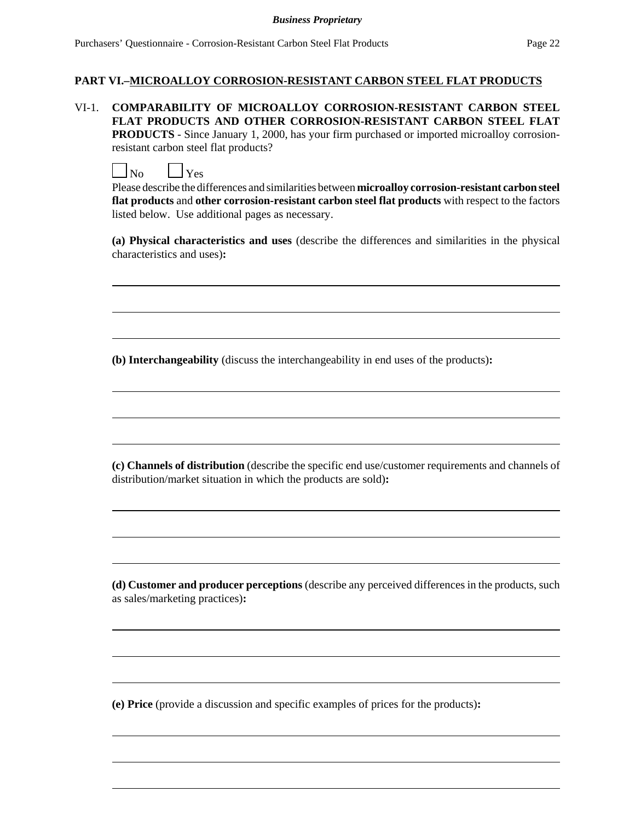#### **PART VI.–MICROALLOY CORROSION-RESISTANT CARBON STEEL FLAT PRODUCTS**

VI-1. **COMPARABILITY OF MICROALLOY CORROSION-RESISTANT CARBON STEEL FLAT PRODUCTS AND OTHER CORROSION-RESISTANT CARBON STEEL FLAT PRODUCTS** - Since January 1, 2000, has your firm purchased or imported microalloy corrosionresistant carbon steel flat products?

 $\Box$ No  $\Box$ Yes

Please describe the differences and similarities between **microalloy corrosion-resistant carbon steel flat products** and **other corrosion-resistant carbon steel flat products** with respect to the factors listed below. Use additional pages as necessary.

**(a) Physical characteristics and uses** (describe the differences and similarities in the physical characteristics and uses)**:**

 $\overline{a}$ 

 $\overline{a}$ 

 $\overline{a}$ 

 $\overline{a}$ 

**(b) Interchangeability** (discuss the interchangeability in end uses of the products)**:**

**(c) Channels of distribution** (describe the specific end use/customer requirements and channels of distribution/market situation in which the products are sold)**:**

 $\overline{a}$ 

 $\overline{a}$ 

**(d) Customer and producer perceptions** (describe any perceived differences in the products, such as sales/marketing practices)**:**

 $\overline{a}$ 

 $\overline{a}$ 

 $\overline{a}$ 

 $\overline{a}$ 

**(e) Price** (provide a discussion and specific examples of prices for the products)**:**